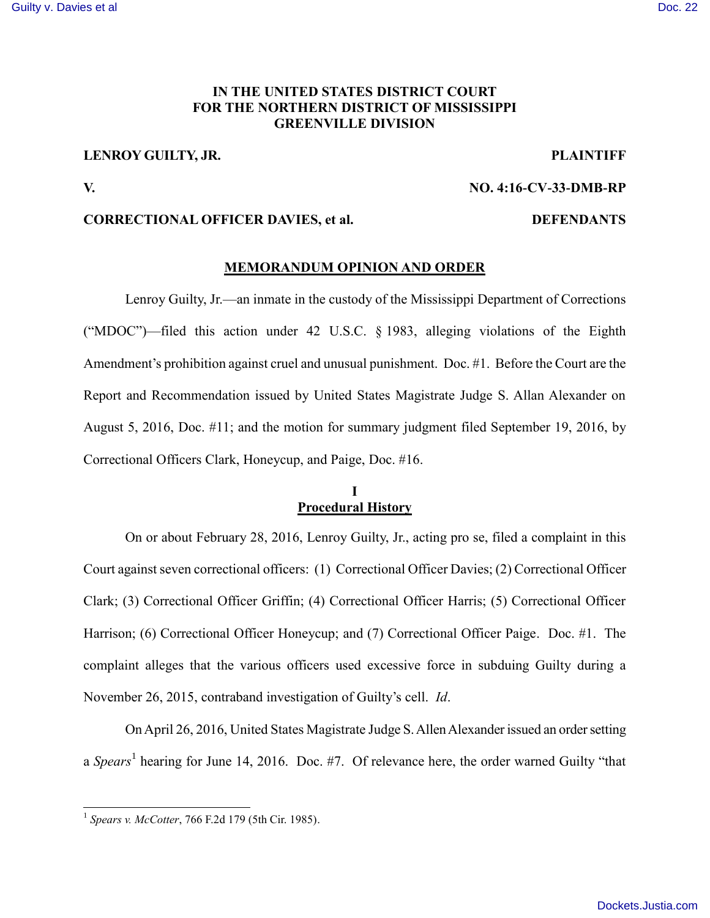#### [Guilty v. Davies et al](https://dockets.justia.com/docket/mississippi/msndce/4:2016cv00033/37955/) [Doc. 22](https://docs.justia.com/cases/federal/district-courts/mississippi/msndce/4:2016cv00033/37955/22/)

# **IN THE UNITED STATES DISTRICT COURT FOR THE NORTHERN DISTRICT OF MISSISSIPPI GREENVILLE DIVISION**

# **LENROY GUILTY, JR. PLAINTIFF**

**V. NO. 4:16-CV-33-DMB-RP**

### **CORRECTIONAL OFFICER DAVIES, et al. DEFENDANTS**

#### **MEMORANDUM OPINION AND ORDER**

Lenroy Guilty, Jr.—an inmate in the custody of the Mississippi Department of Corrections ("MDOC")—filed this action under 42 U.S.C. § 1983, alleging violations of the Eighth Amendment's prohibition against cruel and unusual punishment. Doc. #1. Before the Court are the Report and Recommendation issued by United States Magistrate Judge S. Allan Alexander on August 5, 2016, Doc. #11; and the motion for summary judgment filed September 19, 2016, by Correctional Officers Clark, Honeycup, and Paige, Doc. #16.

#### **I Procedural History**

On or about February 28, 2016, Lenroy Guilty, Jr., acting pro se, filed a complaint in this Court against seven correctional officers: (1) Correctional Officer Davies; (2) Correctional Officer Clark; (3) Correctional Officer Griffin; (4) Correctional Officer Harris; (5) Correctional Officer Harrison; (6) Correctional Officer Honeycup; and (7) Correctional Officer Paige. Doc. #1. The complaint alleges that the various officers used excessive force in subduing Guilty during a November 26, 2015, contraband investigation of Guilty's cell. *Id*.

On April 26, 2016, United States Magistrate Judge S. Allen Alexander issued an order setting a *Spears*<sup>1</sup> hearing for June 14, 2016. Doc. #7. Of relevance here, the order warned Guilty "that

 1 *Spears v. McCotter*, 766 F.2d 179 (5th Cir. 1985).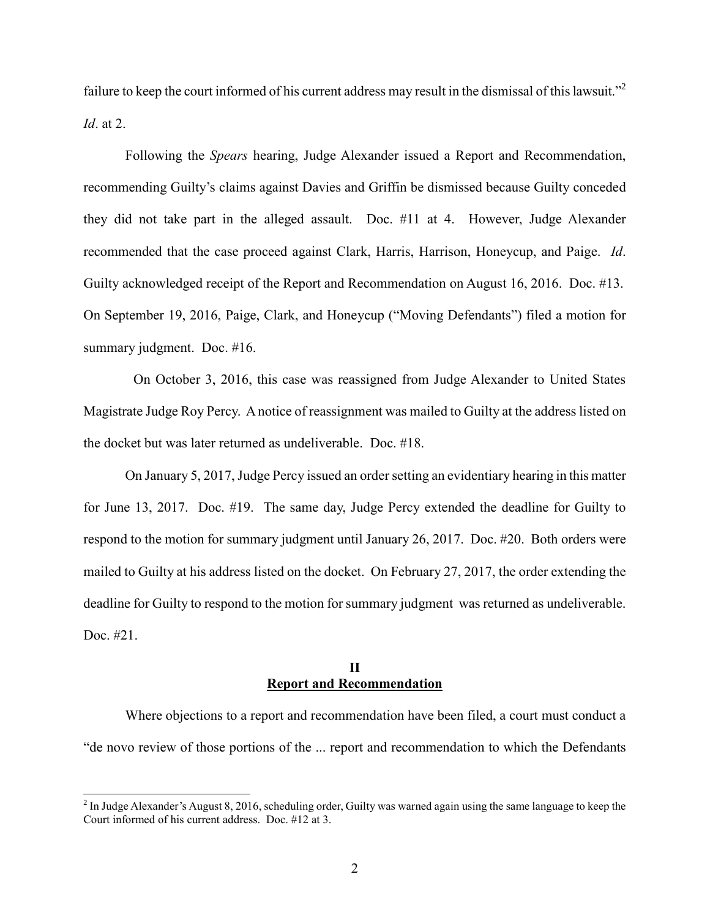failure to keep the court informed of his current address may result in the dismissal of this lawsuit."<sup>2</sup> *Id*. at 2.

Following the *Spears* hearing, Judge Alexander issued a Report and Recommendation, recommending Guilty's claims against Davies and Griffin be dismissed because Guilty conceded they did not take part in the alleged assault. Doc. #11 at 4. However, Judge Alexander recommended that the case proceed against Clark, Harris, Harrison, Honeycup, and Paige. *Id*. Guilty acknowledged receipt of the Report and Recommendation on August 16, 2016. Doc. #13. On September 19, 2016, Paige, Clark, and Honeycup ("Moving Defendants") filed a motion for summary judgment. Doc. #16.

On October 3, 2016, this case was reassigned from Judge Alexander to United States Magistrate Judge Roy Percy. A notice of reassignment was mailed to Guilty at the address listed on the docket but was later returned as undeliverable. Doc. #18.

On January 5, 2017, Judge Percy issued an order setting an evidentiary hearing in this matter for June 13, 2017. Doc. #19. The same day, Judge Percy extended the deadline for Guilty to respond to the motion for summary judgment until January 26, 2017. Doc. #20. Both orders were mailed to Guilty at his address listed on the docket. On February 27, 2017, the order extending the deadline for Guilty to respond to the motion for summary judgment was returned as undeliverable. Doc. #21.

### **II Report and Recommendation**

Where objections to a report and recommendation have been filed, a court must conduct a "de novo review of those portions of the ... report and recommendation to which the Defendants

 $\overline{a}$ 

 $2^{2}$  In Judge Alexander's August 8, 2016, scheduling order, Guilty was warned again using the same language to keep the Court informed of his current address. Doc. #12 at 3.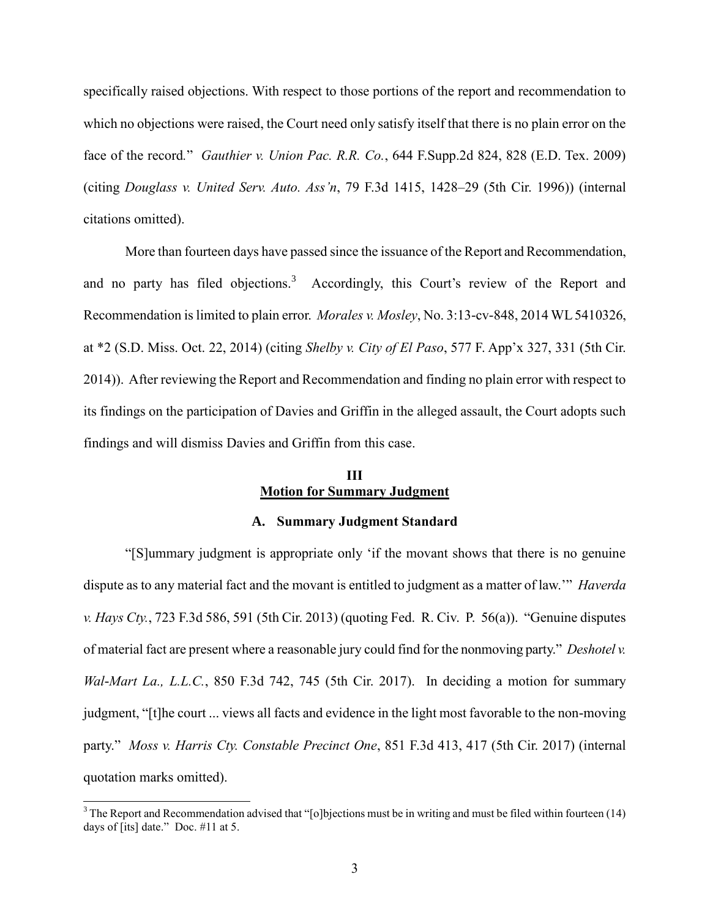specifically raised objections. With respect to those portions of the report and recommendation to which no objections were raised, the Court need only satisfy itself that there is no plain error on the face of the record*.*" *Gauthier v. Union Pac. R.R. Co.*, 644 F.Supp.2d 824, 828 (E.D. Tex. 2009) (citing *Douglass v. United Serv. Auto. Ass'n*, 79 F.3d 1415, 1428–29 (5th Cir. 1996)) (internal citations omitted).

More than fourteen days have passed since the issuance of the Report and Recommendation, and no party has filed objections.<sup>3</sup> Accordingly, this Court's review of the Report and Recommendation is limited to plain error. *Morales v. Mosley*, No. 3:13-cv-848, 2014 WL 5410326, at \*2 (S.D. Miss. Oct. 22, 2014) (citing *Shelby v. City of El Paso*, 577 F. App'x 327, 331 (5th Cir. 2014)). After reviewing the Report and Recommendation and finding no plain error with respect to its findings on the participation of Davies and Griffin in the alleged assault, the Court adopts such findings and will dismiss Davies and Griffin from this case.

# **III Motion for Summary Judgment**

#### **A. Summary Judgment Standard**

"[S]ummary judgment is appropriate only 'if the movant shows that there is no genuine dispute as to any material fact and the movant is entitled to judgment as a matter of law.'" *Haverda v. Hays Cty.*, 723 F.3d 586, 591 (5th Cir. 2013) (quoting Fed. R. Civ. P. 56(a)). "Genuine disputes of material fact are present where a reasonable jury could find for the nonmoving party." *Deshotel v. Wal*-*Mart La., L.L.C.*, 850 F.3d 742, 745 (5th Cir. 2017). In deciding a motion for summary judgment, "[t]he court ... views all facts and evidence in the light most favorable to the non-moving party." *Moss v. Harris Cty. Constable Precinct One*, 851 F.3d 413, 417 (5th Cir. 2017) (internal quotation marks omitted).

 $\overline{a}$ 

 $3$  The Report and Recommendation advised that "[o]bjections must be in writing and must be filed within fourteen (14) days of [its] date." Doc. #11 at 5.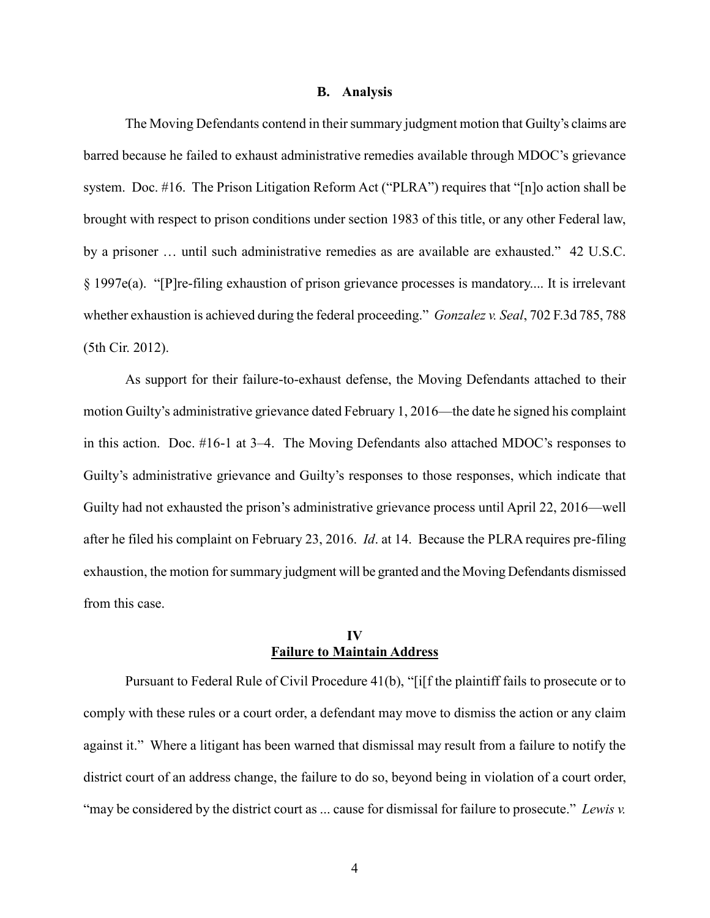#### **B. Analysis**

The Moving Defendants contend in their summary judgment motion that Guilty's claims are barred because he failed to exhaust administrative remedies available through MDOC's grievance system. Doc. #16. The Prison Litigation Reform Act ("PLRA") requires that "[n]o action shall be brought with respect to prison conditions under section 1983 of this title, or any other Federal law, by a prisoner … until such administrative remedies as are available are exhausted." 42 U.S.C. § 1997e(a). "[P]re-filing exhaustion of prison grievance processes is mandatory.... It is irrelevant whether exhaustion is achieved during the federal proceeding." *Gonzalez v. Seal*, 702 F.3d 785, 788 (5th Cir. 2012).

As support for their failure-to-exhaust defense, the Moving Defendants attached to their motion Guilty's administrative grievance dated February 1, 2016—the date he signed his complaint in this action. Doc. #16-1 at 3–4. The Moving Defendants also attached MDOC's responses to Guilty's administrative grievance and Guilty's responses to those responses, which indicate that Guilty had not exhausted the prison's administrative grievance process until April 22, 2016—well after he filed his complaint on February 23, 2016. *Id*. at 14. Because the PLRA requires pre-filing exhaustion, the motion for summary judgment will be granted and the Moving Defendants dismissed from this case.

### **IV Failure to Maintain Address**

Pursuant to Federal Rule of Civil Procedure 41(b), "[i[f the plaintiff fails to prosecute or to comply with these rules or a court order, a defendant may move to dismiss the action or any claim against it." Where a litigant has been warned that dismissal may result from a failure to notify the district court of an address change, the failure to do so, beyond being in violation of a court order, "may be considered by the district court as ... cause for dismissal for failure to prosecute." *Lewis v.*